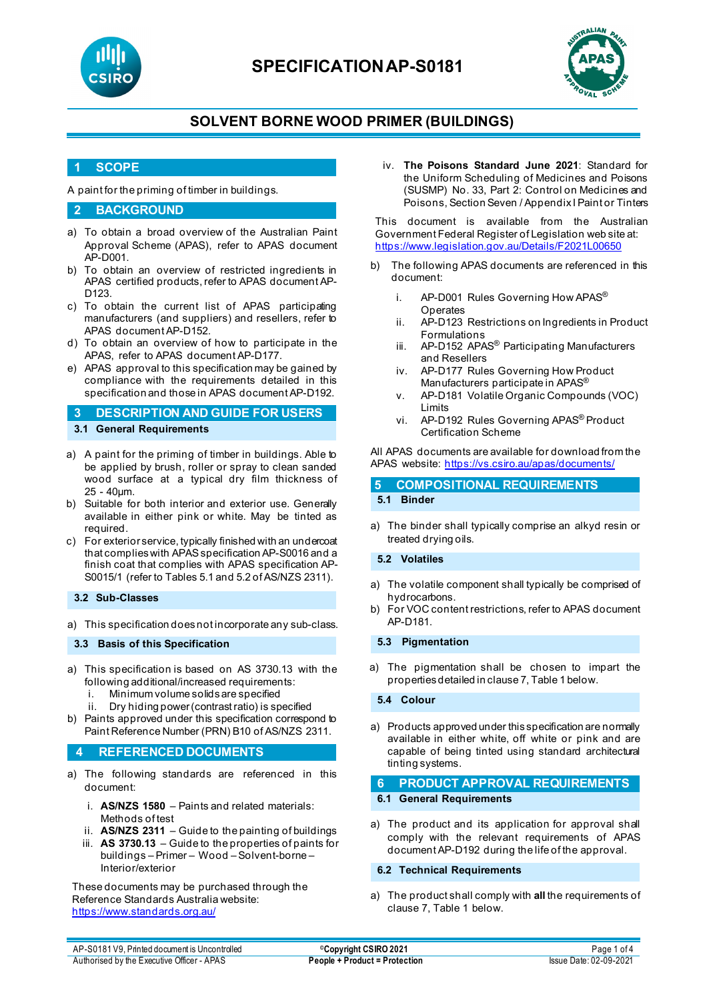

## **SPECIFICATIONAP-S0181**



## **SOLVENT BORNE WOOD PRIMER (BUILDINGS)**

#### **1 SCOPE**

A paint for the priming of timber in buildings.

#### **2 BACKGROUND**

- a) To obtain a broad overview of the Australian Paint Approval Scheme (APAS), refer to APAS document AP-D001.
- b) To obtain an overview of restricted ingredients in APAS certified products, refer to APAS document AP-D123.
- c) To obtain the current list of APAS participating manufacturers (and suppliers) and resellers, refer to APAS document AP-D152.
- d) To obtain an overview of how to participate in the APAS, refer to APAS document AP-D177.
- e) APAS approval to this specification may be gained by compliance with the requirements detailed in this specification and those in APAS document AP-D192.

#### **3 DESCRIPTION AND GUIDE FOR USERS 3.1 General Requirements**

- a) A paint for the priming of timber in buildings. Able to be applied by brush, roller or spray to clean sanded wood surface at a typical dry film thickness of 25 - 40µm.
- b) Suitable for both interior and exterior use. Generally available in either pink or white. May be tinted as required.
- c) For exterior service, typically finished with an undercoat that complies with APAS specification AP-S0016 and a finish coat that complies with APAS specification AP-S0015/1 (refer to Tables 5.1 and 5.2 of AS/NZS 2311).

#### **3.2 Sub-Classes**

a) This specification does not incorporate any sub-class.

#### **3.3 Basis of this Specification**

- a) This specification is based on AS 3730.13 with the following additional/increased requirements:
	- i. Minimum volume solids are specified
	- ii. Dry hiding power (contrast ratio) is specified
- b) Paints approved under this specification correspond to Paint Reference Number (PRN) B10 of AS/NZS 2311.

#### **4 REFERENCED DOCUMENTS**

- a) The following standards are referenced in this document:
	- i. **AS/NZS 1580** Paints and related materials: Methods of test
	- ii. **AS/NZS 2311** Guide to the painting of buildings
	- iii. **AS 3730.13** Guide to the properties of paints for buildings – Primer – Wood – Solvent-borne – Interior/exterior

These documents may be purchased through the Reference Standards Australia website: <https://www.standards.org.au/>

iv. **The Poisons Standard June 2021**: Standard for the Uniform Scheduling of Medicines and Poisons (SUSMP) No. 33, Part 2: Control on Medicines and Poisons, Section Seven / Appendix I Paint or Tinters

This document is available from the Australian Government Federal Register of Legislation web site at: <https://www.legislation.gov.au/Details/F2021L00650>

- b) The following APAS documents are referenced in this document:
	- i. AP-D001 Rules Governing How APAS<sup>®</sup> Operates
	- ii. AP-D123 Restrictions on Ingredients in Product Formulations
	- iii. AP-D152 APAS® Participating Manufacturers and Resellers
	- iv. AP-D177 Rules Governing How Product Manufacturers participate in APAS®
	- v. AP-D181 Volatile Organic Compounds (VOC) Limits
	- vi. AP-D192 Rules Governing APAS® Product Certification Scheme

#### All APAS documents are available for download from the APAS website: <https://vs.csiro.au/apas/documents/>

### **5 COMPOSITIONAL REQUIREMENTS 5.1 Binder**

a) The binder shall typically comprise an alkyd resin or treated drying oils.

#### **5.2 Volatiles**

- a) The volatile component shall typically be comprised of hydrocarbons.
- b) For VOC content restrictions, refer to APAS document AP-D181.

#### **5.3 Pigmentation**

a) The pigmentation shall be chosen to impart the properties detailed in clause 7, Table 1 below.

**5.4 Colour**

a) Products approved under this specification are normally available in either white, off white or pink and are capable of being tinted using standard architectural tinting systems.

#### **6 PRODUCT APPROVAL REQUIREMENTS 6.1 General Requirements**

a) The product and its application for approval shall comply with the relevant requirements of APAS document AP-D192 during the life of the approval.

#### **6.2 Technical Requirements**

a) The product shall comply with **all** the requirements of clause 7, Table 1 below.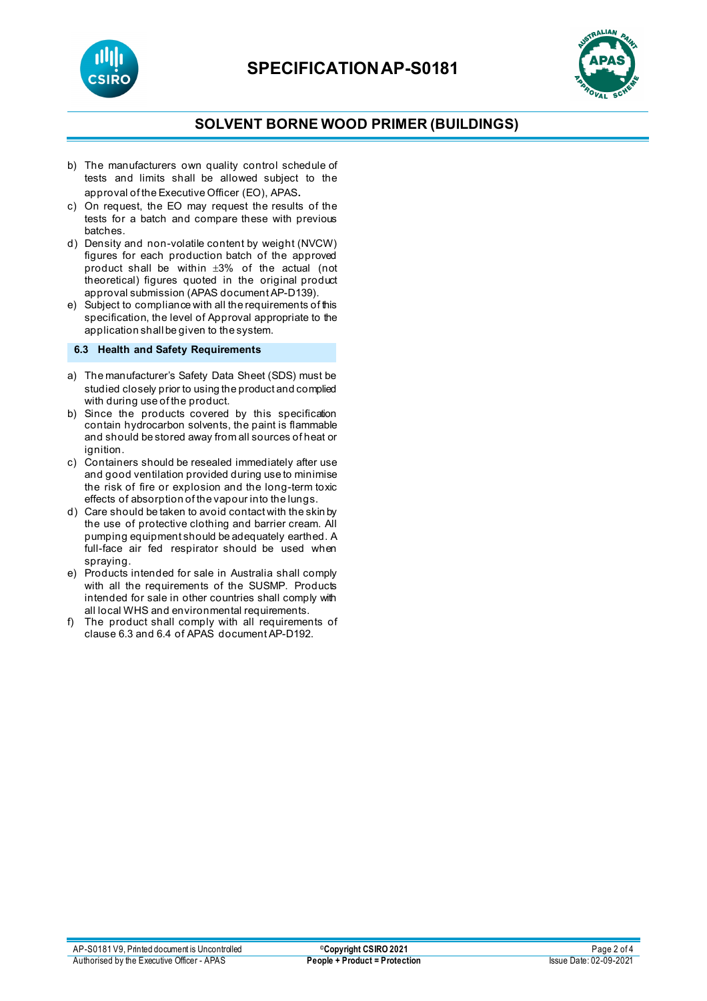



## **SOLVENT BORNE WOOD PRIMER (BUILDINGS)**

- b) The manufacturers own quality control schedule of tests and limits shall be allowed subject to the approval of the Executive Officer (EO), APAS.
- c) On request, the EO may request the results of the tests for a batch and compare these with previous batches.
- d) Density and non-volatile content by weight (NVCW) figures for each production batch of the approved product shall be within ±3% of the actual (not theoretical) figures quoted in the original product approval submission (APAS document AP-D139).
- e) Subject to compliance with all the requirements of this specification, the level of Approval appropriate to the application shall be given to the system.

#### **6.3 Health and Safety Requirements**

- a) The manufacturer's Safety Data Sheet (SDS) must be studied closely prior to using the product and complied with during use of the product.
- b) Since the products covered by this specification contain hydrocarbon solvents, the paint is flammable and should be stored away from all sources of heat or ignition.
- c) Containers should be resealed immediately after use and good ventilation provided during use to minimise the risk of fire or explosion and the long-term toxic effects of absorption of the vapour into the lungs.
- d) Care should be taken to avoid contact with the skin by the use of protective clothing and barrier cream. All pumping equipment should be adequately earthed. A full-face air fed respirator should be used when spraying.
- e) Products intended for sale in Australia shall comply with all the requirements of the SUSMP. Products intended for sale in other countries shall comply with all local WHS and environmental requirements.
- f) The product shall comply with all requirements of clause 6.3 and 6.4 of APAS document AP-D192.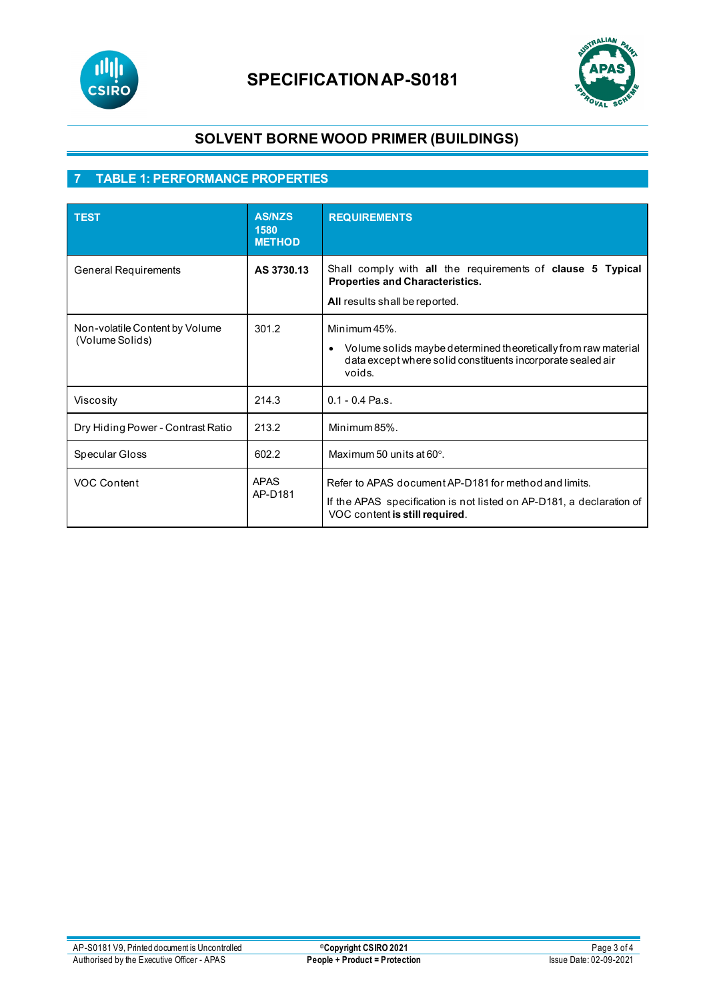



## **SOLVENT BORNE WOOD PRIMER (BUILDINGS)**

## **7 TABLE 1: PERFORMANCE PROPERTIES**

| <b>TEST</b>                                       | <b>AS/NZS</b><br>1580<br><b>METHOD</b> | <b>REQUIREMENTS</b>                                                                                                                                                  |
|---------------------------------------------------|----------------------------------------|----------------------------------------------------------------------------------------------------------------------------------------------------------------------|
| <b>General Requirements</b>                       | AS 3730.13                             | Shall comply with all the requirements of clause 5 Typical<br><b>Properties and Characteristics.</b><br>All results shall be reported.                               |
| Non-volatile Content by Volume<br>(Volume Solids) | 301.2                                  | Minimum 45%.<br>Volume solids may be determined theoretically from raw material<br>$\bullet$<br>data except where solid constituents incorporate sealed air<br>voids |
| Viscosity                                         | 214.3                                  | $0.1 - 0.4$ Pa.s.                                                                                                                                                    |
| Dry Hiding Power - Contrast Ratio                 | 213.2                                  | Minimum 85%.                                                                                                                                                         |
| Specular Gloss                                    | 602.2                                  | Maximum 50 units at $60^\circ$ .                                                                                                                                     |
| <b>VOC Content</b>                                | <b>APAS</b><br>AP-D181                 | Refer to APAS document AP-D181 for method and limits.<br>If the APAS specification is not listed on AP-D181, a declaration of<br>VOC content is still required.      |